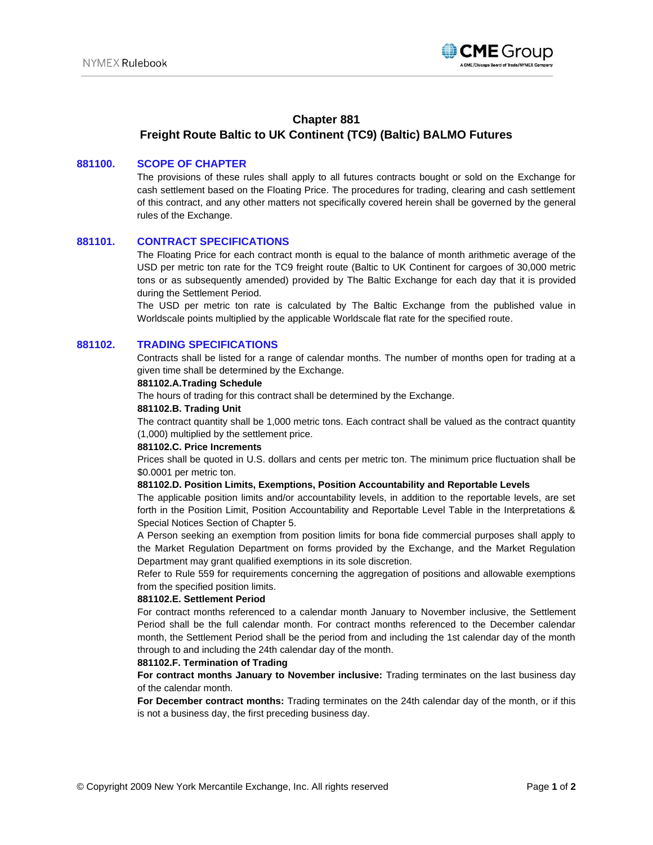

# **Chapter 881**

# **Freight Route Baltic to UK Continent (TC9) (Baltic) BALMO Futures**

### **881100. SCOPE OF CHAPTER**

The provisions of these rules shall apply to all futures contracts bought or sold on the Exchange for cash settlement based on the Floating Price. The procedures for trading, clearing and cash settlement of this contract, and any other matters not specifically covered herein shall be governed by the general rules of the Exchange.

### **881101. CONTRACT SPECIFICATIONS**

The Floating Price for each contract month is equal to the balance of month arithmetic average of the USD per metric ton rate for the TC9 freight route (Baltic to UK Continent for cargoes of 30,000 metric tons or as subsequently amended) provided by The Baltic Exchange for each day that it is provided during the Settlement Period.

The USD per metric ton rate is calculated by The Baltic Exchange from the published value in Worldscale points multiplied by the applicable Worldscale flat rate for the specified route.

## **881102. TRADING SPECIFICATIONS**

Contracts shall be listed for a range of calendar months. The number of months open for trading at a given time shall be determined by the Exchange.

## **881102.A.Trading Schedule**

The hours of trading for this contract shall be determined by the Exchange.

### **881102.B. Trading Unit**

The contract quantity shall be 1,000 metric tons. Each contract shall be valued as the contract quantity (1,000) multiplied by the settlement price.

#### **881102.C. Price Increments**

Prices shall be quoted in U.S. dollars and cents per metric ton. The minimum price fluctuation shall be \$0.0001 per metric ton.

### **881102.D. Position Limits, Exemptions, Position Accountability and Reportable Levels**

The applicable position limits and/or accountability levels, in addition to the reportable levels, are set forth in the Position Limit, Position Accountability and Reportable Level Table in the Interpretations & Special Notices Section of Chapter 5.

A Person seeking an exemption from position limits for bona fide commercial purposes shall apply to the Market Regulation Department on forms provided by the Exchange, and the Market Regulation Department may grant qualified exemptions in its sole discretion.

Refer to Rule 559 for requirements concerning the aggregation of positions and allowable exemptions from the specified position limits.

#### **881102.E. Settlement Period**

For contract months referenced to a calendar month January to November inclusive, the Settlement Period shall be the full calendar month. For contract months referenced to the December calendar month, the Settlement Period shall be the period from and including the 1st calendar day of the month through to and including the 24th calendar day of the month.

### **881102.F. Termination of Trading**

**For contract months January to November inclusive:** Trading terminates on the last business day of the calendar month.

**For December contract months:** Trading terminates on the 24th calendar day of the month, or if this is not a business day, the first preceding business day.